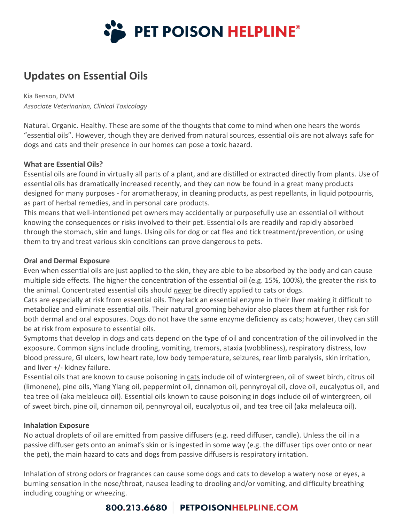

# **Updates on Essential Oils**

Kia Benson, DVM *Associate Veterinarian, Clinical Toxicology*

Natural. Organic. Healthy. These are some of the thoughts that come to mind when one hears the words "essential oils". However, though they are derived from natural sources, essential oils are not always safe for dogs and cats and their presence in our homes can pose a toxic hazard.

### **What are Essential Oils?**

Essential oils are found in virtually all parts of a plant, and are distilled or extracted directly from plants. Use of essential oils has dramatically increased recently, and they can now be found in a great many products designed for many purposes - for aromatherapy, in cleaning products, as pest repellants, in liquid potpourris, as part of herbal remedies, and in personal care products.

This means that well-intentioned pet owners may accidentally or purposefully use an essential oil without knowing the consequences or risks involved to their pet. Essential oils are readily and rapidly absorbed through the stomach, skin and lungs. Using oils for dog or cat flea and tick treatment/prevention, or using them to try and treat various skin conditions can prove dangerous to pets.

### **Oral and Dermal Exposure**

Even when essential oils are just applied to the skin, they are able to be absorbed by the body and can cause multiple side effects. The higher the concentration of the essential oil (e.g. 15%, 100%), the greater the risk to the animal. Concentrated essential oils should *never* be directly applied to cats or dogs.

Cats are especially at risk from essential oils. They lack an essential enzyme in their liver making it difficult to metabolize and eliminate essential oils. Their natural grooming behavior also places them at further risk for both dermal and oral exposures. Dogs do not have the same enzyme deficiency as cats; however, they can still be at risk from exposure to essential oils.

Symptoms that develop in dogs and cats depend on the type of oil and concentration of the oil involved in the exposure. Common signs include drooling, vomiting, tremors, ataxia (wobbliness), respiratory distress, low blood pressure, GI ulcers, low heart rate, low body temperature, seizures, rear limb paralysis, skin irritation, and liver +/- kidney failure.

Essential oils that are known to cause poisoning in cats include oil of wintergreen, oil of sweet birch, citrus oil (limonene), pine oils, Ylang Ylang oil, peppermint oil, cinnamon oil, pennyroyal oil, clove oil, eucalyptus oil, and tea tree oil (aka melaleuca oil). Essential oils known to cause poisoning in dogs include oil of wintergreen, oil of sweet birch, pine oil, cinnamon oil, pennyroyal oil, eucalyptus oil, and tea tree oil (aka melaleuca oil).

### **Inhalation Exposure**

No actual droplets of oil are emitted from passive diffusers (e.g. reed diffuser, candle). Unless the oil in a passive diffuser gets onto an animal's skin or is ingested in some way (e.g. the diffuser tips over onto or near the pet), the main hazard to cats and dogs from passive diffusers is respiratory irritation.

Inhalation of strong odors or fragrances can cause some dogs and cats to develop a watery nose or eyes, a burning sensation in the nose/throat, nausea leading to drooling and/or vomiting, and difficulty breathing including coughing or wheezing.

## 800.213.6680 | PETPOISONHELPLINE.COM